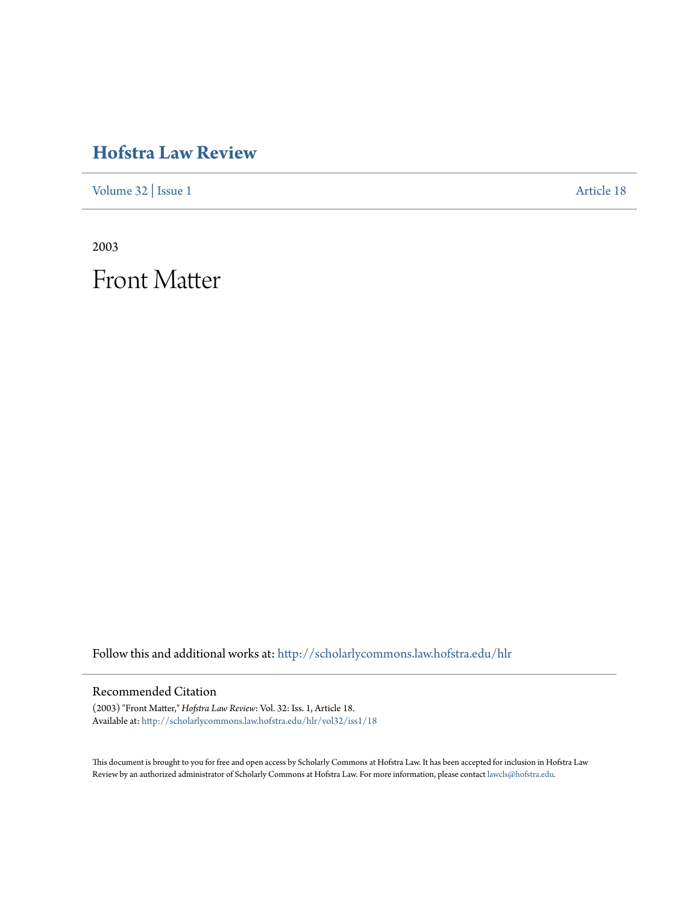## **[Hofstra Law Review](http://scholarlycommons.law.hofstra.edu/hlr?utm_source=scholarlycommons.law.hofstra.edu%2Fhlr%2Fvol32%2Fiss1%2F18&utm_medium=PDF&utm_campaign=PDFCoverPages)**

[Volume 32](http://scholarlycommons.law.hofstra.edu/hlr/vol32?utm_source=scholarlycommons.law.hofstra.edu%2Fhlr%2Fvol32%2Fiss1%2F18&utm_medium=PDF&utm_campaign=PDFCoverPages) | [Issue 1](http://scholarlycommons.law.hofstra.edu/hlr/vol32/iss1?utm_source=scholarlycommons.law.hofstra.edu%2Fhlr%2Fvol32%2Fiss1%2F18&utm_medium=PDF&utm_campaign=PDFCoverPages) [Article 18](http://scholarlycommons.law.hofstra.edu/hlr/vol32/iss1/18?utm_source=scholarlycommons.law.hofstra.edu%2Fhlr%2Fvol32%2Fiss1%2F18&utm_medium=PDF&utm_campaign=PDFCoverPages)

2003

Front Matter

Follow this and additional works at: [http://scholarlycommons.law.hofstra.edu/hlr](http://scholarlycommons.law.hofstra.edu/hlr?utm_source=scholarlycommons.law.hofstra.edu%2Fhlr%2Fvol32%2Fiss1%2F18&utm_medium=PDF&utm_campaign=PDFCoverPages)

### Recommended Citation

(2003) "Front Matter," *Hofstra Law Review*: Vol. 32: Iss. 1, Article 18. Available at: [http://scholarlycommons.law.hofstra.edu/hlr/vol32/iss1/18](http://scholarlycommons.law.hofstra.edu/hlr/vol32/iss1/18?utm_source=scholarlycommons.law.hofstra.edu%2Fhlr%2Fvol32%2Fiss1%2F18&utm_medium=PDF&utm_campaign=PDFCoverPages)

This document is brought to you for free and open access by Scholarly Commons at Hofstra Law. It has been accepted for inclusion in Hofstra Law Review by an authorized administrator of Scholarly Commons at Hofstra Law. For more information, please contact [lawcls@hofstra.edu](mailto:lawcls@hofstra.edu).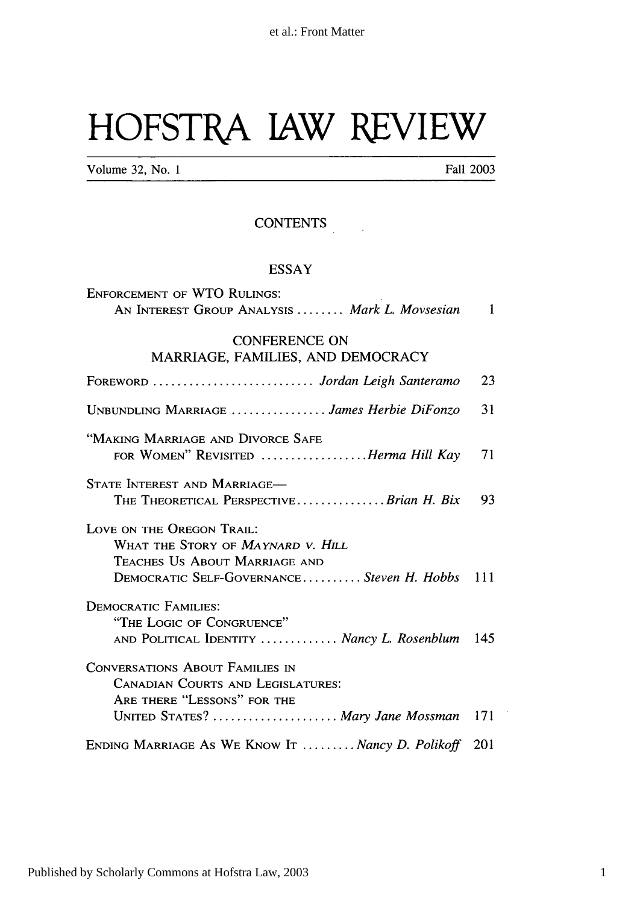# **HOFSTRA** JAW REVIEW

Volume 32, No. 1 Fall 2003

### **CONTENTS**

#### ESSAY

| <b>ENFORCEMENT OF WTO RULINGS:</b>                                                                                                              |     |
|-------------------------------------------------------------------------------------------------------------------------------------------------|-----|
| AN INTEREST GROUP ANALYSIS  Mark L. Movsesian                                                                                                   | 1   |
| <b>CONFERENCE ON</b><br>MARRIAGE, FAMILIES, AND DEMOCRACY                                                                                       |     |
| FOREWORD  Jordan Leigh Santeramo                                                                                                                | 23  |
| UNBUNDLING MARRIAGE  James Herbie DiFonzo                                                                                                       | 31  |
| "MAKING MARRIAGE AND DIVORCE SAFE<br>FOR WOMEN" REVISITED Herma Hill Kay                                                                        | 71  |
| STATE INTEREST AND MARRIAGE-<br>THE THEORETICAL PERSPECTIVEBrian H. Bix                                                                         | 93  |
| LOVE ON THE OREGON TRAIL:<br>WHAT THE STORY OF MAYNARD V. HILL<br>TEACHES US ABOUT MARRIAGE AND<br>DEMOCRATIC SELF-GOVERNANCESteven H. Hobbs    | 111 |
| <b>DEMOCRATIC FAMILIES:</b><br>"THE LOGIC OF CONGRUENCE"<br>AND POLITICAL IDENTITY  Nancy L. Rosenblum                                          | 145 |
| CONVERSATIONS ABOUT FAMILIES IN<br><b>CANADIAN COURTS AND LEGISLATURES:</b><br>ARE THERE "LESSONS" FOR THE<br>UNITED STATES?  Mary Jane Mossman | 171 |
| ENDING MARRIAGE AS WE KNOW IT  Nancy D. Polikoff                                                                                                | 201 |